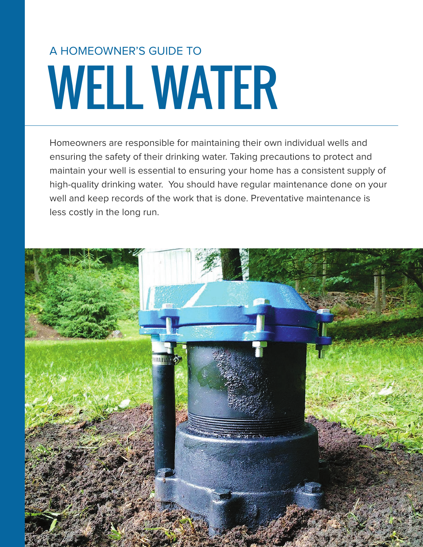# WELL WATER A HOMEOWNER'S GUIDE TO

Homeowners are responsible for maintaining their own individual wells and ensuring the safety of their drinking water. Taking precautions to protect and maintain your well is essential to ensuring your home has a consistent supply of high-quality drinking water. You should have regular maintenance done on your well and keep records of the work that is done. Preventative maintenance is less costly in the long run.

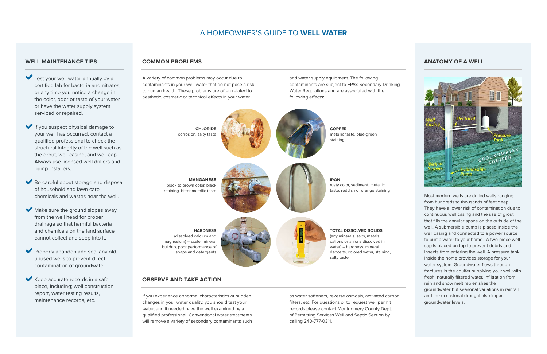## **WELL MAINTENANCE TIPS**

- Test your well water annually by a certified lab for bacteria and nitrates, or any time you notice a change in the color, odor or taste of your water or have the water supply system serviced or repaired.
- If you suspect physical damage to your well has occurred, contact a qualified professional to check the structural integrity of the well such as the grout, well casing, and well cap. Always use licensed well drillers and pump installers.
- Be careful about storage and disposal of household and lawn care chemicals and wastes near the well.
- Make sure the ground slopes away from the well head for proper drainage so that harmful bacteria and chemicals on the land surface cannot collect and seep into it.
- Properly abandon and seal any old, unused wells to prevent direct contamination of groundwater.
- Keep accurate records in a safe place, including; well construction report, water testing results, maintenance records, etc.

A variety of common problems may occur due to contaminants in your well water that do not pose a risk to human health. These problems are often related to aesthetic, cosmetic or technical effects in your water

and water supply equipment. The following contaminants are subject to EPA's Secondary Drinking Water Regulations and are associated with the following effects:

## **COMMON PROBLEMS**

### **OBSERVE AND TAKE ACTION**

If you experience abnormal characteristics or sudden changes in your water quality, you should test your water, and if needed have the well examined by a qualified professional. Conventional water treatments will remove a variety of secondary contaminants such as water softeners, reverse osmosis, activated carbon filters, etc. For questions or to request well permit records please contact Montgomery County Dept. of Permitting Services Well and Septic Section by calling 240-777-0311.

#### **ANATOMY OF A WELL**

![](_page_1_Picture_16.jpeg)

Most modern wells are drilled wells ranging from hundreds to thousands of feet deep. They have a lower risk of contamination due to continuous well casing and the use of grout that fills the annular space on the outside of the well. A submersible pump is placed inside the well casing and connected to a power source to pump water to your home. A two-piece well cap is placed on top to prevent debris and insects from entering the well. A pressure tank inside the home provides storage for your water system. Groundwater flows through fractures in the aquifer supplying your well with fresh, naturally filtered water. Infiltration from rain and snow melt replenishes the groundwater but seasonal variations in rainfall and the occasional drought also impact groundwater levels.

![](_page_1_Figure_11.jpeg)